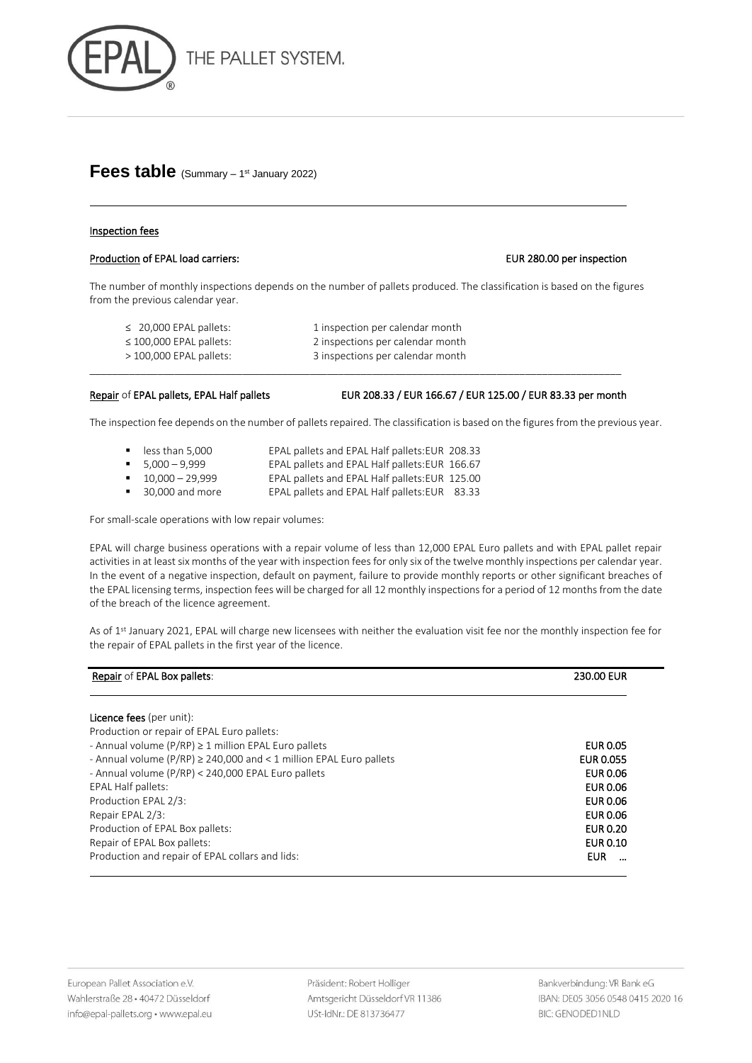

# Fees table (Summary - 1st January 2022)

## Inspection fees

### Production of EPAL load carriers: EUR 280.00 per inspection

The number of monthly inspections depends on the number of pallets produced. The classification is based on the figures from the previous calendar year.

≤ 20,000 EPAL pallets: 1 inspection per calendar month ≤ 100,000 EPAL pallets: 2 inspections per calendar month > 100,000 EPAL pallets: 3 inspections per calendar month \_\_\_\_\_\_\_\_\_\_\_\_\_\_\_\_\_\_\_\_\_\_\_\_\_\_\_\_\_\_\_\_\_\_\_\_\_\_\_\_\_\_\_\_\_\_\_\_\_\_\_\_\_\_\_\_\_\_\_\_\_\_\_\_\_\_\_\_\_\_\_\_\_\_\_\_\_\_\_\_\_\_\_\_\_\_\_\_\_\_\_\_\_\_

Repair of EPAL pallets, EPAL Half pallets EUR 208.33 / EUR 166.67 / EUR 125.00 / EUR 83.33 per month

The inspection fee depends on the number of pallets repaired. The classification is based on the figures from the previous year.

- less than 5,000 EPAL pallets and EPAL Half pallets: EUR 208.33
- 5,000 9,999 EPAL pallets and EPAL Half pallets:EUR 166.67
- 10,000 29,999 EPAL pallets and EPAL Half pallets:EUR 125.00
- 30,000 and more EPAL pallets and EPAL Half pallets:EUR 83.33

For small-scale operations with low repair volumes:

EPAL will charge business operations with a repair volume of less than 12,000 EPAL Euro pallets and with EPAL pallet repair activities in at least six months of the year with inspection fees for only six of the twelve monthly inspections per calendar year. In the event of a negative inspection, default on payment, failure to provide monthly reports or other significant breaches of the EPAL licensing terms, inspection fees will be charged for all 12 monthly inspections for a period of 12 months from the date of the breach of the licence agreement.

As of 1<sup>st</sup> January 2021, EPAL will charge new licensees with neither the evaluation visit fee nor the monthly inspection fee for the repair of EPAL pallets in the first year of the licence.

| Repair of EPAL Box pallets:                                                 | <b>230.00 EUR</b> |
|-----------------------------------------------------------------------------|-------------------|
|                                                                             |                   |
| <b>Licence fees</b> (per unit):                                             |                   |
| Production or repair of EPAL Euro pallets:                                  |                   |
| - Annual volume ( $P/RP$ ) $\geq$ 1 million EPAL Euro pallets               | <b>EUR 0.05</b>   |
| - Annual volume ( $P/RP$ ) $\geq$ 240,000 and < 1 million EPAL Euro pallets | <b>EUR 0.055</b>  |
| - Annual volume (P/RP) < 240,000 EPAL Euro pallets                          | <b>EUR 0.06</b>   |
| <b>EPAL Half pallets:</b>                                                   | <b>EUR 0.06</b>   |
| Production EPAL 2/3:                                                        | <b>EUR 0.06</b>   |
| Repair EPAL 2/3:                                                            | <b>EUR 0.06</b>   |
| Production of EPAL Box pallets:                                             | <b>EUR 0.20</b>   |
| Repair of EPAL Box pallets:                                                 | <b>EUR 0.10</b>   |
| Production and repair of EPAL collars and lids:                             | <b>EUR</b>        |

Präsident: Robert Holliger Amtsgericht Düsseldorf VR 11386 USt-IdNr.: DE 813736477

Bankverbindung: VR Bank eG IBAN: DE05 3056 0548 0415 2020 16 **BIC: GENODED1NLD**